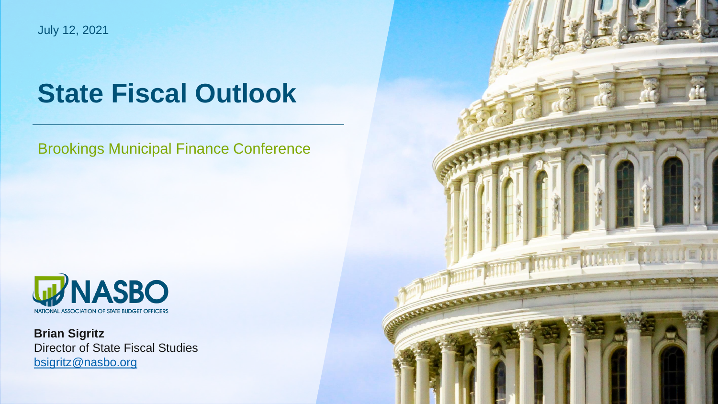July 12, 2021

# **State Fiscal Outlook**

Brookings Municipal Finance Conference



**Brian Sigritz** Director of State Fiscal Studies [bsigritz@nasbo.org](mailto:jhicks@nasbo.org)

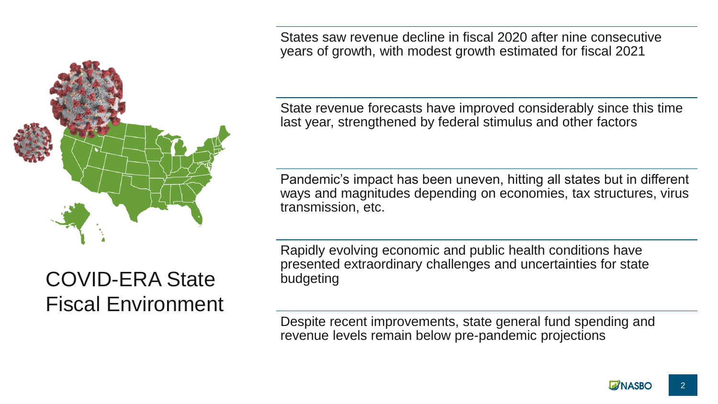

States saw revenue decline in fiscal 2020 after nine consecutive years of growth, with modest growth estimated for fiscal 2021

State revenue forecasts have improved considerably since this time last year, strengthened by federal stimulus and other factors

Pandemic's impact has been uneven, hitting all states but in different ways and magnitudes depending on economies, tax structures, virus transmission, etc.

Rapidly evolving economic and public health conditions have presented extraordinary challenges and uncertainties for state budgeting

Despite recent improvements, state general fund spending and revenue levels remain below pre-pandemic projections

## COVID-ERA State Fiscal Environment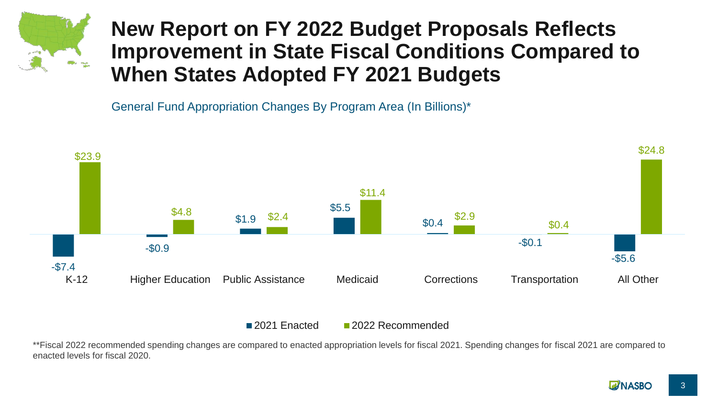

#### **New Report on FY 2022 Budget Proposals Reflects Improvement in State Fiscal Conditions Compared to When States Adopted FY 2021 Budgets**

General Fund Appropriation Changes By Program Area (In Billions)\*



2021 Enacted 2022 Recommended

\*\*Fiscal 2022 recommended spending changes are compared to enacted appropriation levels for fiscal 2021. Spending changes for fiscal 2021 are compared to enacted levels for fiscal 2020.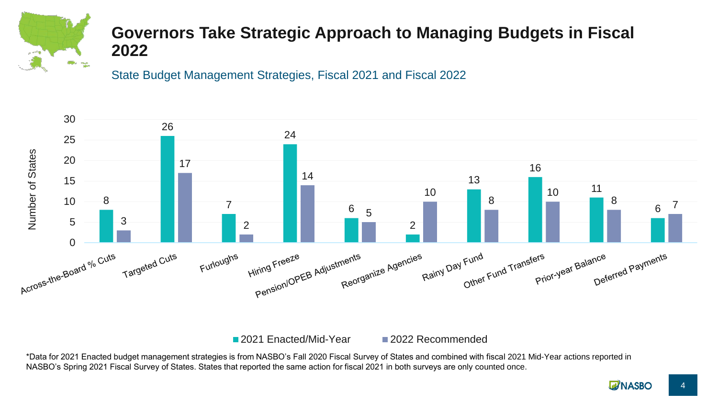

#### **Governors Take Strategic Approach to Managing Budgets in Fiscal**

State Budget Management Strategies, Fiscal 2021 and Fiscal 2022



2021 Enacted/Mid-Year 2022 Recommended

\*Data for 2021 Enacted budget management strategies is from NASBO's Fall 2020 Fiscal Survey of States and combined with fiscal 2021 Mid-Year actions reported in NASBO's Spring 2021 Fiscal Survey of States. States that reported the same action for fiscal 2021 in both surveys are only counted once.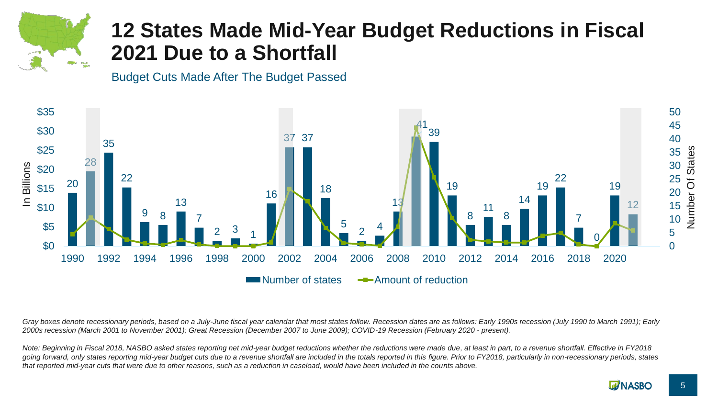

### **12 States Made Mid-Year Budget Reductions in Fiscal 2021 Due to a Shortfall**

Budget Cuts Made After The Budget Passed



*Gray boxes denote recessionary periods, based on a July-June fiscal year calendar that most states follow. Recession dates are as follows: Early 1990s recession (July 1990 to March 1991); Early 2000s recession (March 2001 to November 2001); Great Recession (December 2007 to June 2009); COVID-19 Recession (February 2020 - present).* 

*Note: Beginning in Fiscal 2018, NASBO asked states reporting net mid-year budget reductions whether the reductions were made due, at least in part, to a revenue shortfall. Effective in FY2018*  going forward, only states reporting mid-year budget cuts due to a revenue shortfall are included in the totals reported in this figure. Prior to FY2018, particularly in non-recessionary periods, states *that reported mid-year cuts that were due to other reasons, such as a reduction in caseload, would have been included in the counts above.*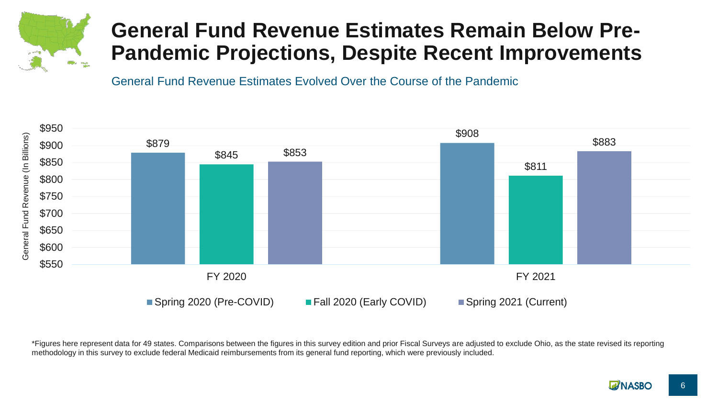

### **General Fund Revenue Estimates Remain Below Pre-Pandemic Projections, Despite Recent Improvements**

General Fund Revenue Estimates Evolved Over the Course of the Pandemic



\*Figures here represent data for 49 states. Comparisons between the figures in this survey edition and prior Fiscal Surveys are adjusted to exclude Ohio, as the state revised its reporting methodology in this survey to exclude federal Medicaid reimbursements from its general fund reporting, which were previously included.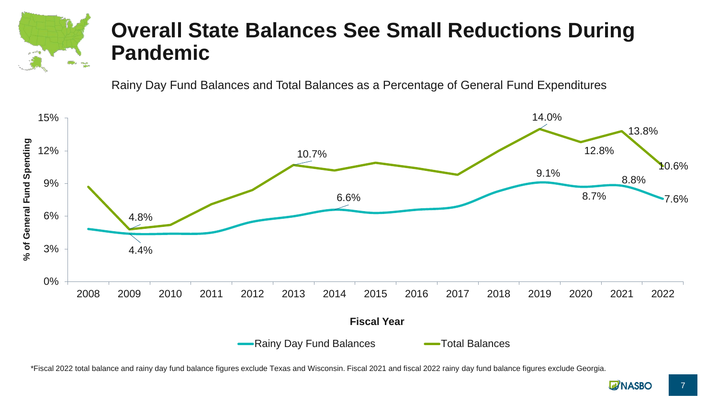

### **Overall State Balances See Small Reductions During Pandemic**

Rainy Day Fund Balances and Total Balances as a Percentage of General Fund Expenditures



\*Fiscal 2022 total balance and rainy day fund balance figures exclude Texas and Wisconsin. Fiscal 2021 and fiscal 2022 rainy day fund balance figures exclude Georgia.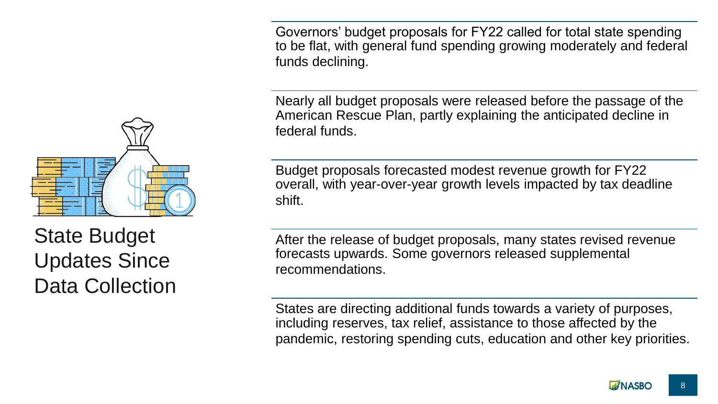Governors' budget proposals for FY22 called for total state spending to be flat, with general fund spending growing moderately and federal funds declining.

Nearly all budget proposals were released before the passage of the American Rescue Plan, partly explaining the anticipated decline in federal funds.

Budget proposals forecasted modest revenue growth for FY22 overall, with year-over-year growth levels impacted by tax deadline shift.

After the release of budget proposals, many states revised revenue forecasts upwards. Some governors released supplemental recommendations.

States are directing additional funds towards a variety of purposes, including reserves, tax relief, assistance to those affected by the pandemic, restoring spending cuts, education and other key priorities.



State Budget Updates Since Data Collection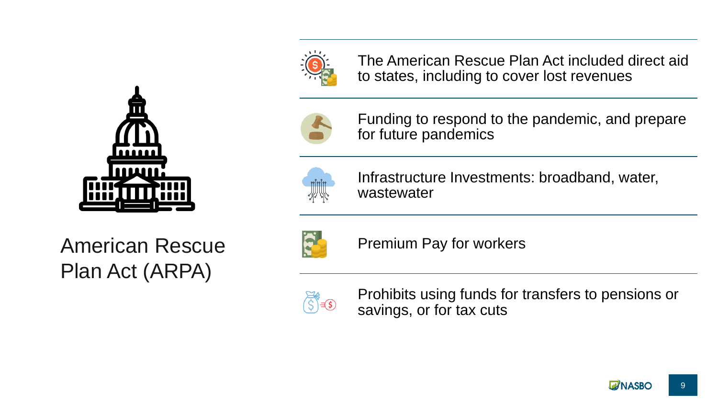

The American Rescue Plan Act included direct aid to states, including to cover lost revenues



Funding to respond to the pandemic, and prepare for future pandemics



Infrastructure Investments: broadband, water, wastewater

American Rescue Plan Act (ARPA)



Premium Pay for workers



Prohibits using funds for transfers to pensions or savings, or for tax cuts